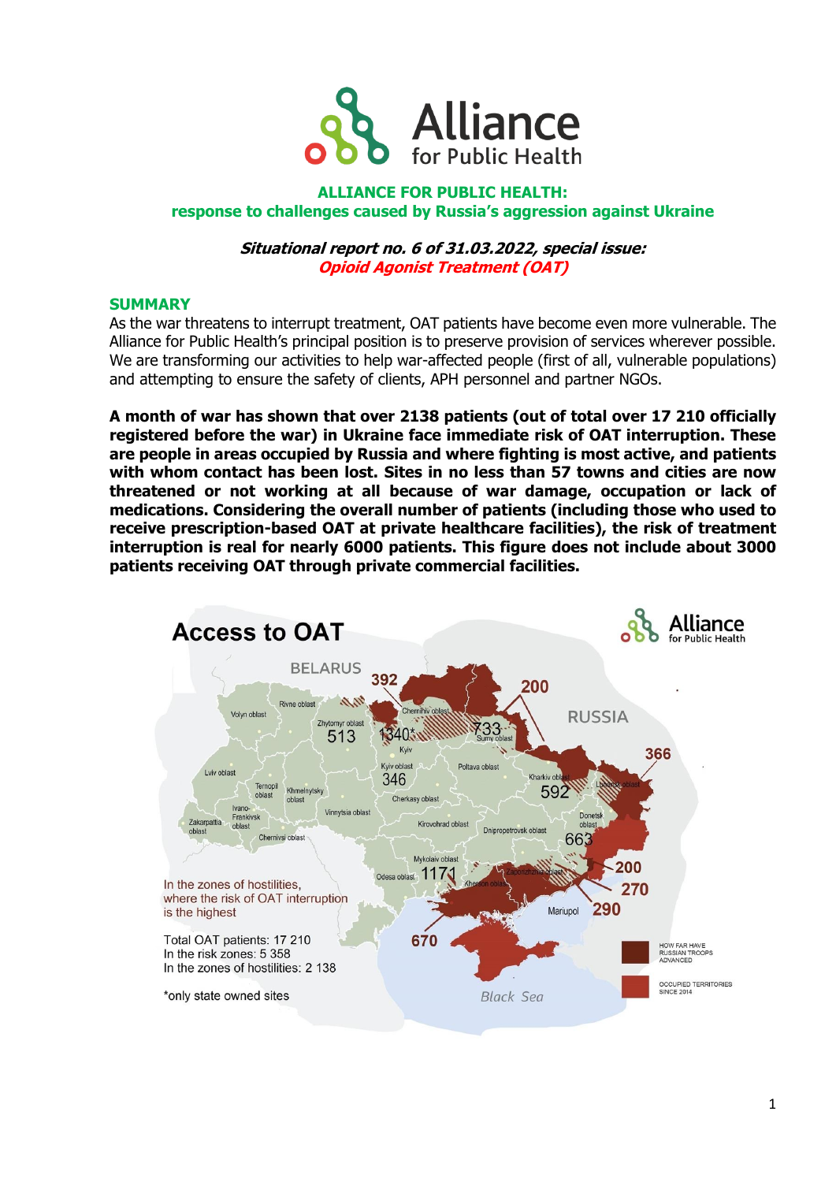

# **ALLIANCE FOR PUBLIC HEALTH: response to challenges caused by Russia's aggression against Ukraine**

## **Situational report no. 6 of 31.03.2022, special issue: Opioid Agonist Treatment (OAT)**

## **SUMMARY**

As the war threatens to interrupt treatment, OAT patients have become even more vulnerable. The Alliance for Public Health's principal position is to preserve provision of services wherever possible. We are transforming our activities to help war-affected people (first of all, vulnerable populations) and attempting to ensure the safety of clients, APH personnel and partner NGOs.

**A month of war has shown that over 2138 patients (out of total over 17 210 officially registered before the war) in Ukraine face immediate risk of OAT interruption. These are people in areas occupied by Russia and where fighting is most active, and patients with whom contact has been lost. Sites in no less than 57 towns and cities are now threatened or not working at all because of war damage, occupation or lack of medications. Considering the overall number of patients (including those who used to receive prescription-based OAT at private healthcare facilities), the risk of treatment interruption is real for nearly 6000 patients. This figure does not include about 3000 patients receiving OAT through private commercial facilities.**

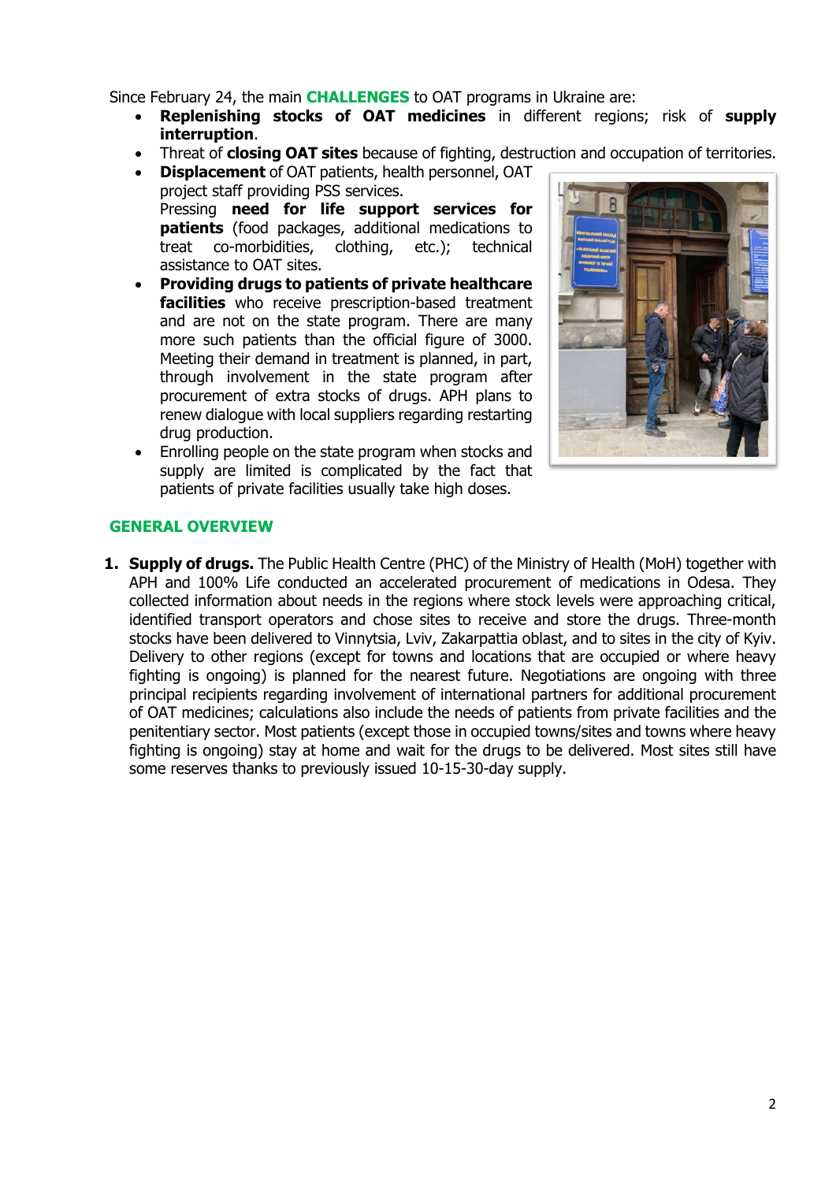Since February 24, the main **CHALLENGES** to OAT programs in Ukraine are:

- **Replenishing stocks of OAT medicines** in different regions; risk of **supply interruption**.
- Threat of **closing OAT sites** because of fighting, destruction and occupation of territories.
- **Displacement** of OAT patients, health personnel, OAT project staff providing PSS services. Pressing **need for life support services for patients** (food packages, additional medications to treat co-morbidities, clothing, etc.); technical assistance to OAT sites.
- **Providing drugs to patients of private healthcare facilities** who receive prescription-based treatment and are not on the state program. There are many more such patients than the official figure of 3000. Meeting their demand in treatment is planned, in part, through involvement in the state program after procurement of extra stocks of drugs. APH plans to renew dialogue with local suppliers regarding restarting drug production.
- Enrolling people on the state program when stocks and supply are limited is complicated by the fact that patients of private facilities usually take high doses.



# **GENERAL OVERVIEW**

**1. Supply of drugs.** The Public Health Centre (PHC) of the Ministry of Health (MoH) together with APH and 100% Life conducted an accelerated procurement of medications in Odesa. They collected information about needs in the regions where stock levels were approaching critical, identified transport operators and chose sites to receive and store the drugs. Three-month stocks have been delivered to Vinnytsia, Lviv, Zakarpattia oblast, and to sites in the city of Kyiv. Delivery to other regions (except for towns and locations that are occupied or where heavy fighting is ongoing) is planned for the nearest future. Negotiations are ongoing with three principal recipients regarding involvement of international partners for additional procurement of OAT medicines; calculations also include the needs of patients from private facilities and the penitentiary sector. Most patients (except those in occupied towns/sites and towns where heavy fighting is ongoing) stay at home and wait for the drugs to be delivered. Most sites still have some reserves thanks to previously issued 10-15-30-day supply.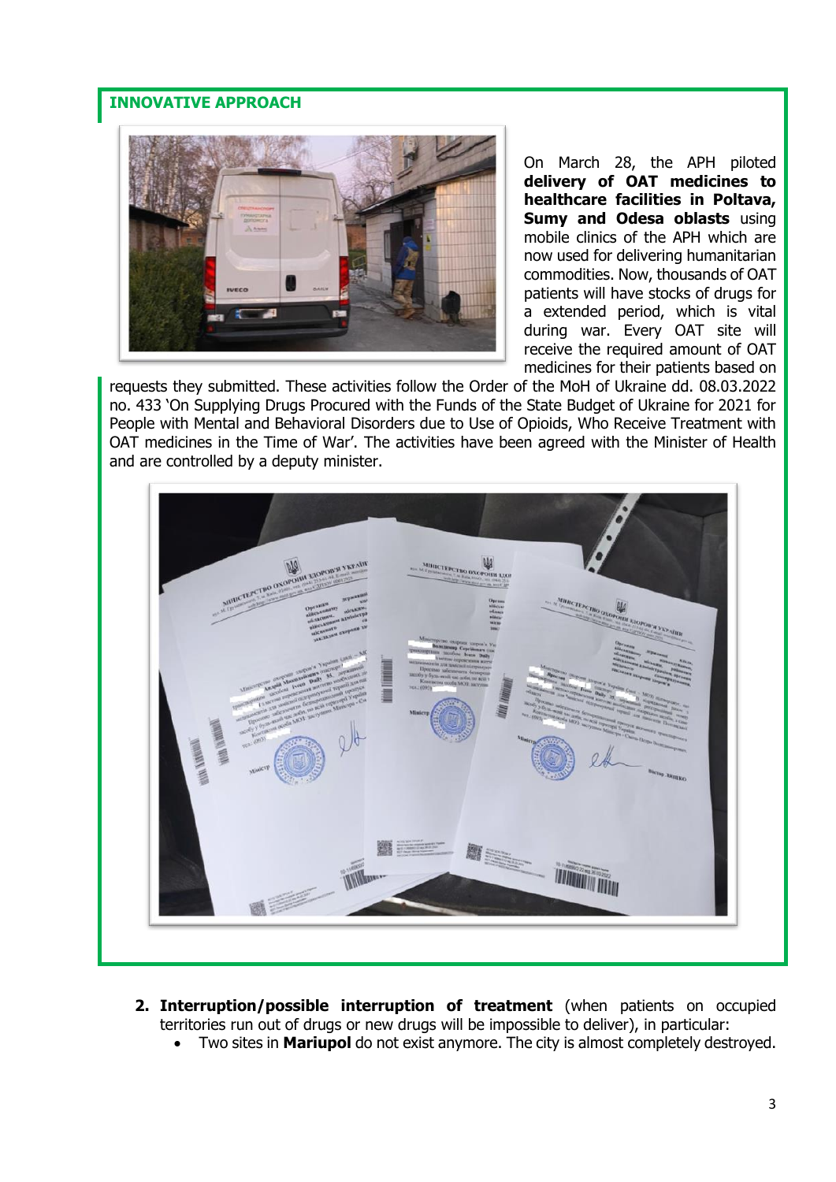# **INNOVATIVE APPROACH**



On March 28, the APH piloted **delivery of OAT medicines to healthcare facilities in Poltava, Sumy and Odesa oblasts** using mobile clinics of the APH which are now used for delivering humanitarian commodities. Now, thousands of OAT patients will have stocks of drugs for a extended period, which is vital during war. Every OAT site will receive the required amount of OAT medicines for their patients based on

requests they submitted. These activities follow the Order of the MoH of Ukraine dd. 08.03.2022 no. 433 'On Supplying Drugs Procured with the Funds of the State Budget of Ukraine for 2021 for People with Mental and Behavioral Disorders due to Use of Opioids, Who Receive Treatment with OAT medicines in the Time of War'. The activities have been agreed with the Minister of Health and are controlled by a deputy minister.



- **2. Interruption/possible interruption of treatment** (when patients on occupied territories run out of drugs or new drugs will be impossible to deliver), in particular:
	- Two sites in **Mariupol** do not exist anymore. The city is almost completely destroyed.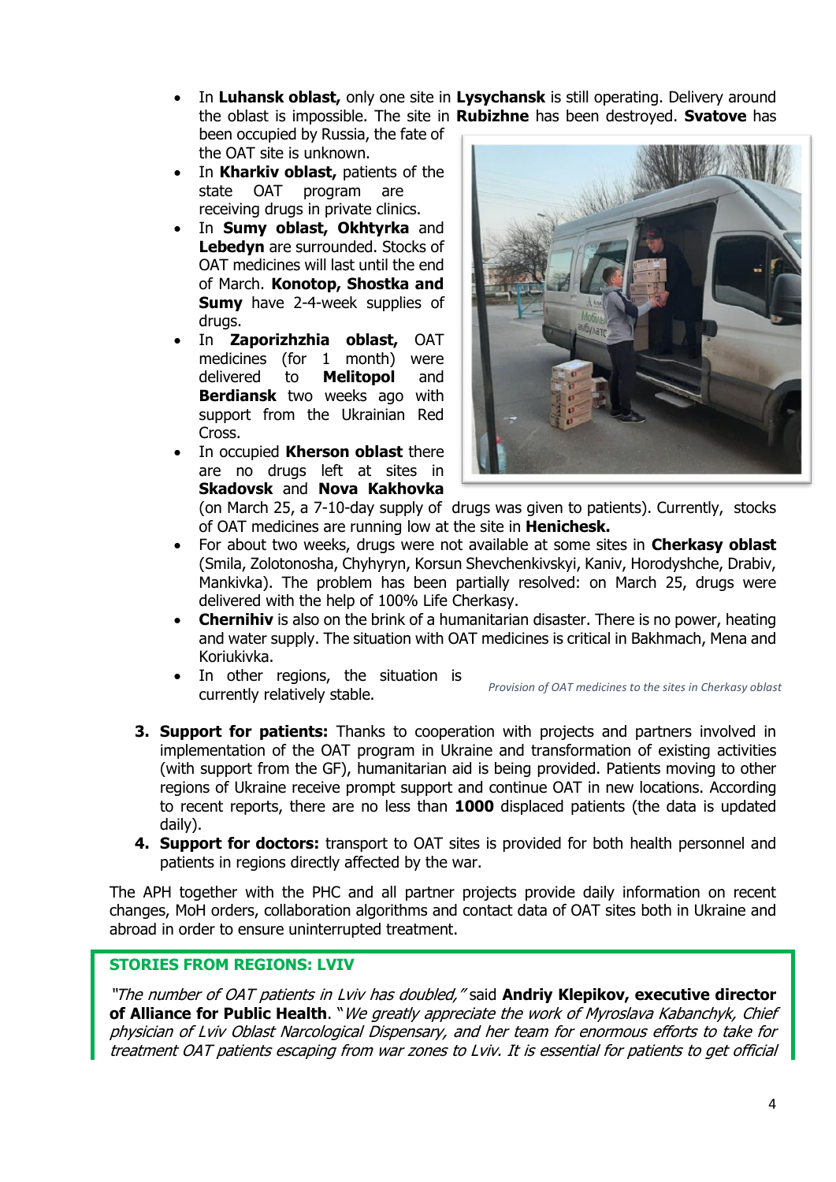- In **Luhansk oblast,** only one site in **Lysychansk** is still operating. Delivery around the oblast is impossible. The site in **Rubizhne** has been destroyed. **Svatove** has been occupied by Russia, the fate of the OAT site is unknown.
- In **Kharkiv oblast,** patients of the state OAT program are receiving drugs in private clinics.
- In **Sumy oblast, Okhtyrka** and **Lebedyn** are surrounded. Stocks of OAT medicines will last until the end of March. **Konotop, Shostka and Sumy** have 2-4-week supplies of drugs.
- In **Zaporizhzhia oblast,** OAT medicines (for 1 month) were delivered to **Melitopol** and **Berdiansk** two weeks ago with support from the Ukrainian Red Cross.
- In occupied **Kherson oblast** there are no drugs left at sites in **Skadovsk** and **Nova Kakhovka**



(on March 25, a 7-10-day supply of drugs was given to patients). Currently, stocks of OAT medicines are running low at the site in **Henichesk.**

- For about two weeks, drugs were not available at some sites in **Cherkasy oblast** (Smila, Zolotonosha, Chyhyryn, Korsun Shevchenkivskyi, Kaniv, Horodyshche, Drabiv, Mankivka). The problem has been partially resolved: on March 25, drugs were delivered with the help of 100% Life Cherkasy.
- **Chernihiv** is also on the brink of a humanitarian disaster. There is no power, heating and water supply. The situation with OAT medicines is critical in Bakhmach, Mena and Koriukivka.
- In other regions, the situation is currently relatively stable. *Provision of OAT medicines to the sites in Cherkasy oblast*
- **3. Support for patients:** Thanks to cooperation with projects and partners involved in implementation of the OAT program in Ukraine and transformation of existing activities (with support from the GF), humanitarian aid is being provided. Patients moving to other regions of Ukraine receive prompt support and continue OAT in new locations. According to recent reports, there are no less than **1000** displaced patients (the data is updated daily).
- **4. Support for doctors:** transport to OAT sites is provided for both health personnel and patients in regions directly affected by the war.

The APH together with the PHC and all partner projects provide daily information on recent changes, MoH orders, collaboration algorithms and contact data of OAT sites both in Ukraine and abroad in order to ensure uninterrupted treatment.

## **STORIES FROM REGIONS: LVIV**

"The number of OAT patients in Lviv has doubled," said **Andriy Klepikov, executive director**  of Alliance for Public Health. "We greatly appreciate the work of Myroslava Kabanchyk, Chief physician of Lviv Oblast Narcological Dispensary, and her team for enormous efforts to take for treatment OAT patients escaping from war zones to Lviv. It is essential for patients to get official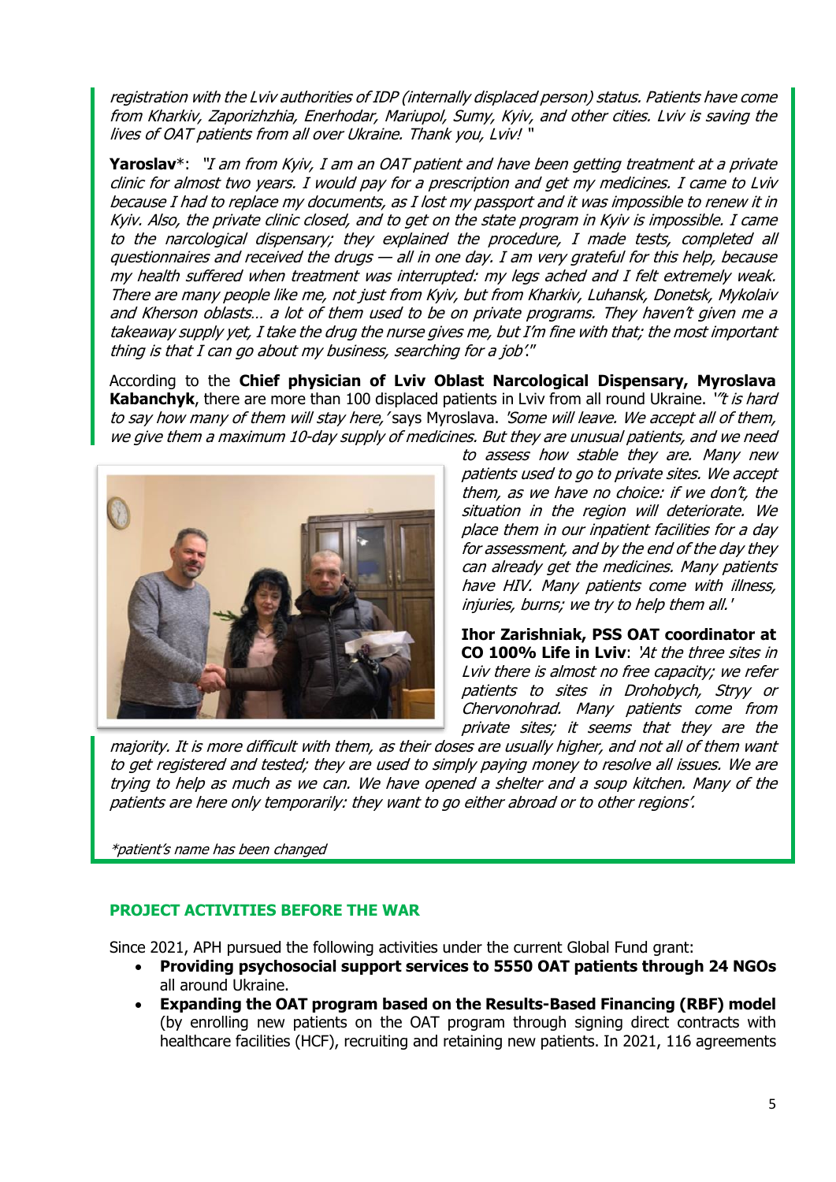registration with the Lviv authorities of IDP (internally displaced person) status. Patients have come from Kharkiv, Zaporizhzhia, Enerhodar, Mariupol, Sumy, Kyiv, and other cities. Lviv is saving the lives of OAT patients from all over Ukraine. Thank you, Lviv! "

**Yaroslav**\*: "I am from Kyiv, I am an OAT patient and have been getting treatment at a private clinic for almost two years. I would pay for a prescription and get my medicines. I came to Lviv because I had to replace my documents, as I lost my passport and it was impossible to renew it in Kyiv. Also, the private clinic closed, and to get on the state program in Kyiv is impossible. I came to the narcological dispensary; they explained the procedure, I made tests, completed all questionnaires and received the drugs — all in one day. I am very grateful for this help, because my health suffered when treatment was interrupted: my legs ached and I felt extremely weak. There are many people like me, not just from Kyiv, but from Kharkiv, Luhansk, Donetsk, Mykolaiv and Kherson oblasts… a lot of them used to be on private programs. They haven't given me a takeaway supply yet, I take the drug the nurse gives me, but I'm fine with that; the most important thing is that I can go about my business, searching for a job'."

According to the **Chief physician of Lviv Oblast Narcological Dispensary, Myroslava Kabanchyk**, there are more than 100 displaced patients in Lviv from all round Ukraine. *"t is hard* to say how many of them will stay here, 'says Myroslava. 'Some will leave. We accept all of them, we give them a maximum 10-day supply of medicines. But they are unusual patients, and we need



to assess how stable they are. Many new patients used to go to private sites. We accept them, as we have no choice: if we don't, the situation in the region will deteriorate. We place them in our inpatient facilities for a day for assessment, and by the end of the day they can already get the medicines. Many patients have HIV. Many patients come with illness, injuries, burns; we try to help them all.'

**Ihor Zarishniak, PSS OAT coordinator at CO 100% Life in Lviv**: 'At the three sites in Lviv there is almost no free capacity; we refer patients to sites in Drohobych, Stryy or Chervonohrad. Many patients come from private sites; it seems that they are the

majority. It is more difficult with them, as their doses are usually higher, and not all of them want to get registered and tested; they are used to simply paying money to resolve all issues. We are trying to help as much as we can. We have opened a shelter and a soup kitchen. Many of the patients are here only temporarily: they want to go either abroad or to other regions'.

\*patient's name has been changed

# **PROJECT ACTIVITIES BEFORE THE WAR**

Since 2021, APH pursued the following activities under the current Global Fund grant:

- **Providing psychosocial support services to 5550 OAT patients through 24 NGOs** all around Ukraine.
- **Expanding the OAT program based on the Results-Based Financing (RBF) model**  (by enrolling new patients on the OAT program through signing direct contracts with healthcare facilities (HCF), recruiting and retaining new patients. In 2021, 116 agreements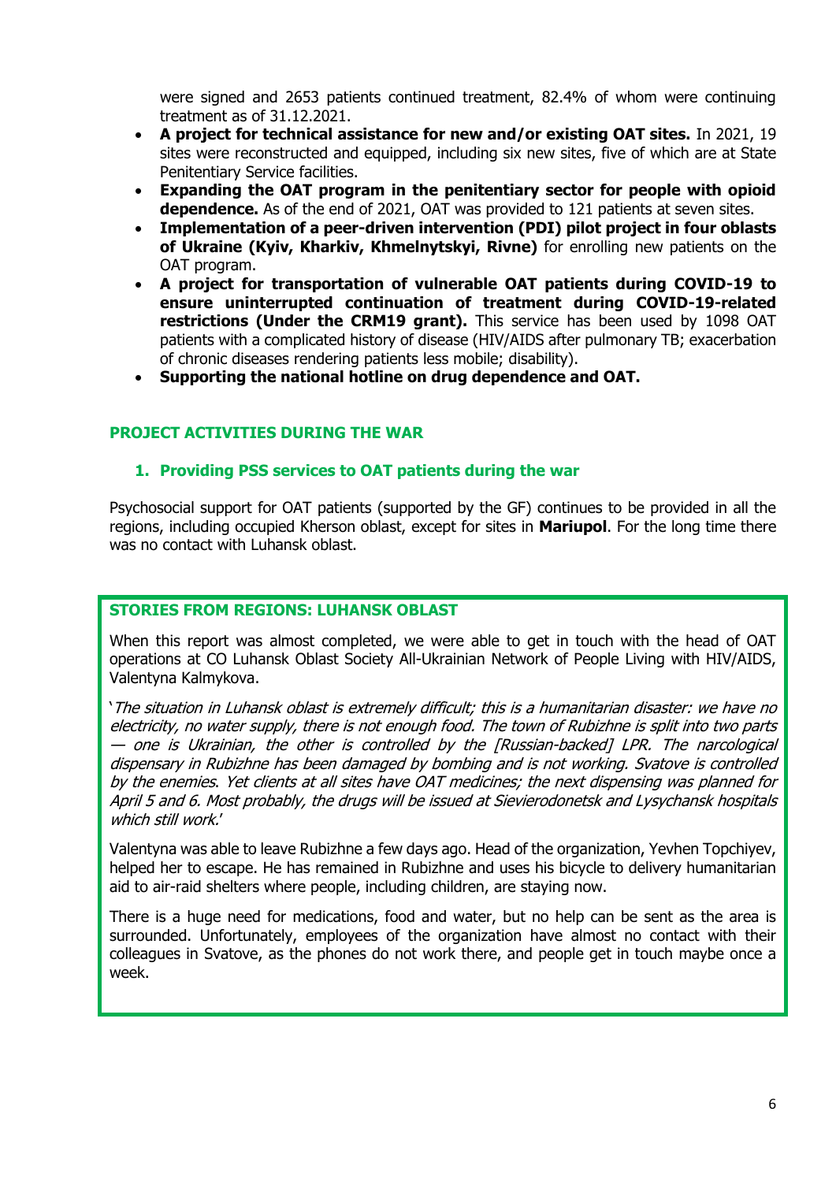were signed and 2653 patients continued treatment, 82.4% of whom were continuing treatment as of 31.12.2021.

- **A project for technical assistance for new and/or existing OAT sites.** In 2021, 19 sites were reconstructed and equipped, including six new sites, five of which are at State Penitentiary Service facilities.
- **Expanding the OAT program in the penitentiary sector for people with opioid dependence.** As of the end of 2021, OAT was provided to 121 patients at seven sites.
- **Implementation of a peer-driven intervention (PDI) pilot project in four oblasts of Ukraine (Kyiv, Kharkiv, Khmelnytskyi, Rivne)** for enrolling new patients on the OAT program.
- **A project for transportation of vulnerable OAT patients during COVID-19 to ensure uninterrupted continuation of treatment during COVID-19-related restrictions (Under the CRM19 grant).** This service has been used by 1098 OAT patients with a complicated history of disease (HIV/AIDS after pulmonary TB; exacerbation of chronic diseases rendering patients less mobile; disability).
- **Supporting the national hotline on drug dependence and OAT.**

## **PROJECT ACTIVITIES DURING THE WAR**

## **1. Providing PSS services to OAT patients during the war**

Psychosocial support for OAT patients (supported by the GF) continues to be provided in all the regions, including occupied Kherson oblast, except for sites in **Mariupol**. For the long time there was no contact with Luhansk oblast.

## **STORIES FROM REGIONS: LUHANSK OBLAST**

When this report was almost completed, we were able to get in touch with the head of OAT operations at CO Luhansk Oblast Society All-Ukrainian Network of People Living with HIV/AIDS, Valentyna Kalmykova.

'The situation in Luhansk oblast is extremely difficult; this is a humanitarian disaster: we have no electricity, no water supply, there is not enough food. The town of Rubizhne is split into two parts — one is Ukrainian, the other is controlled by the [Russian-backed] LPR. The narcological dispensary in Rubizhne has been damaged by bombing and is not working. Svatove is controlled by the enemies. Yet clients at all sites have OAT medicines; the next dispensing was planned for April 5 and 6. Most probably, the drugs will be issued at Sievierodonetsk and Lysychansk hospitals which still work.'

Valentyna was able to leave Rubizhne a few days ago. Head of the organization, Yevhen Topchiyev, helped her to escape. He has remained in Rubizhne and uses his bicycle to delivery humanitarian aid to air-raid shelters where people, including children, are staying now.

There is a huge need for medications, food and water, but no help can be sent as the area is surrounded. Unfortunately, employees of the organization have almost no contact with their colleagues in Svatove, as the phones do not work there, and people get in touch maybe once a week.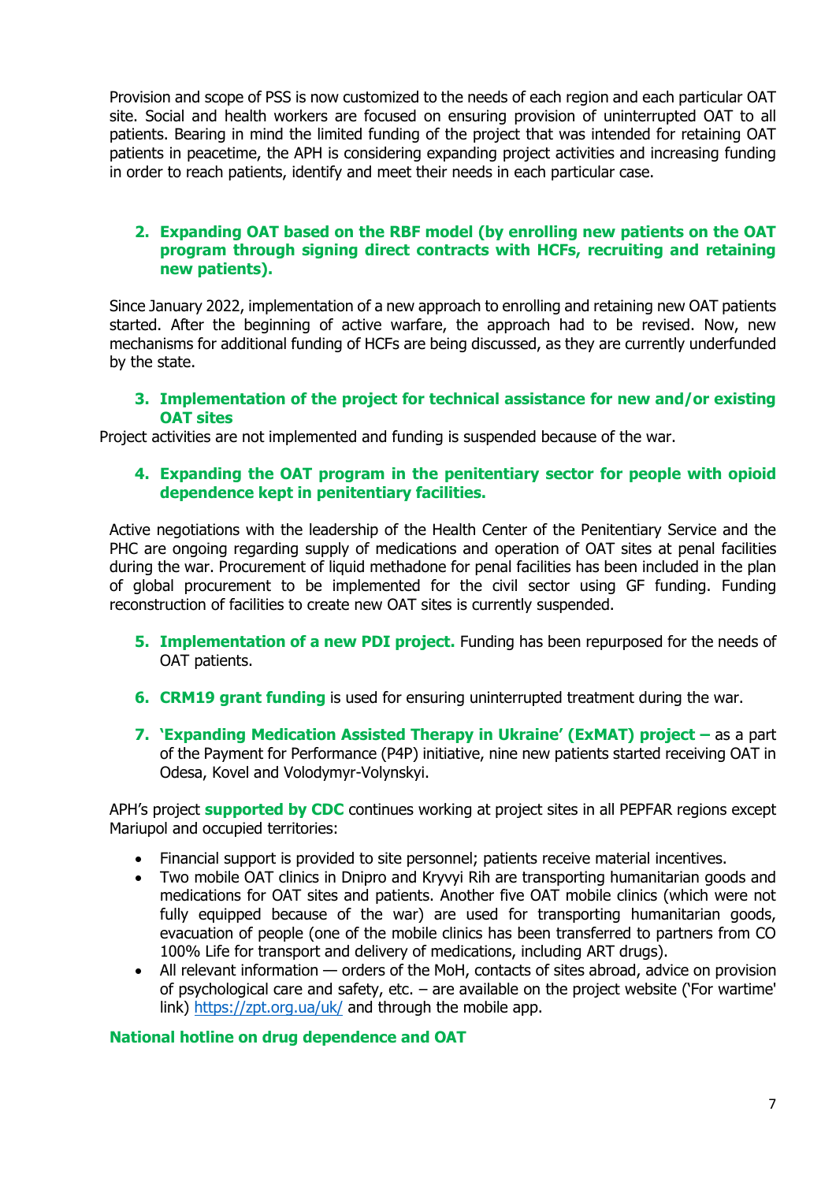Provision and scope of PSS is now customized to the needs of each region and each particular OAT site. Social and health workers are focused on ensuring provision of uninterrupted OAT to all patients. Bearing in mind the limited funding of the project that was intended for retaining OAT patients in peacetime, the APH is considering expanding project activities and increasing funding in order to reach patients, identify and meet their needs in each particular case.

## **2. Expanding OAT based on the RBF model (by enrolling new patients on the OAT program through signing direct contracts with HCFs, recruiting and retaining new patients).**

Since January 2022, implementation of a new approach to enrolling and retaining new OAT patients started. After the beginning of active warfare, the approach had to be revised. Now, new mechanisms for additional funding of HCFs are being discussed, as they are currently underfunded by the state.

## **3. Implementation of the project for technical assistance for new and/or existing OAT sites**

Project activities are not implemented and funding is suspended because of the war.

## **4. Expanding the OAT program in the penitentiary sector for people with opioid dependence kept in penitentiary facilities.**

Active negotiations with the leadership of the Health Center of the Penitentiary Service and the PHC are ongoing regarding supply of medications and operation of OAT sites at penal facilities during the war. Procurement of liquid methadone for penal facilities has been included in the plan of global procurement to be implemented for the civil sector using GF funding. Funding reconstruction of facilities to create new OAT sites is currently suspended.

- **5. Implementation of a new PDI project.** Funding has been repurposed for the needs of OAT patients.
- **6. CRM19 grant funding** is used for ensuring uninterrupted treatment during the war.
- **7. 'Expanding Medication Assisted Therapy in Ukraine' (ЕхМАТ) project –** as a part of the Payment for Performance (P4P) initiative, nine new patients started receiving OAT in Odesa, Kovel and Volodymyr-Volynskyi.

APH's project **supported by СDC** continues working at project sites in all PEPFAR regions except Mariupol and occupied territories:

- Financial support is provided to site personnel; patients receive material incentives.
- Two mobile OAT clinics in Dnipro and Kryvyi Rih are transporting humanitarian goods and medications for OAT sites and patients. Another five OAT mobile clinics (which were not fully equipped because of the war) are used for transporting humanitarian goods, evacuation of people (one of the mobile clinics has been transferred to partners from CO 100% Life for transport and delivery of medications, including ART drugs).
- All relevant information orders of the MoH, contacts of sites abroad, advice on provision of psychological care and safety, etc. – are available on the project website ('For wartime' link)<https://zpt.org.ua/uk/> and through the mobile app.

## **National hotline on drug dependence and OAT**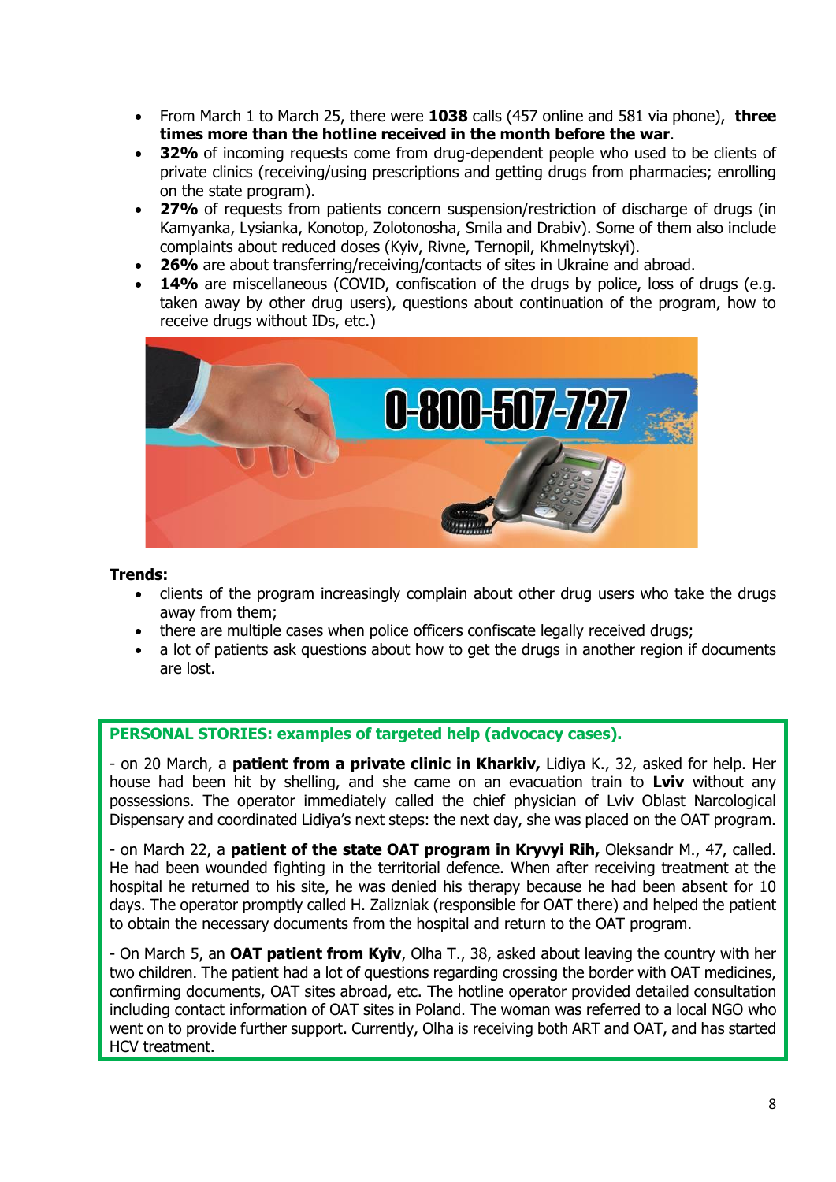- From March 1 to March 25, there were **1038** calls (457 online and 581 via phone), **three times more than the hotline received in the month before the war**.
- **32%** of incoming requests come from drug-dependent people who used to be clients of private clinics (receiving/using prescriptions and getting drugs from pharmacies; enrolling on the state program).
- **27%** of requests from patients concern suspension/restriction of discharge of drugs (in Kamyanka, Lysianka, Konotop, Zolotonosha, Smila and Drabiv). Some of them also include complaints about reduced doses (Kyiv, Rivne, Ternopil, Khmelnytskyi).
- **26%** are about transferring/receiving/contacts of sites in Ukraine and abroad.
- 14% are miscellaneous (COVID, confiscation of the drugs by police, loss of drugs (e.g. taken away by other drug users), questions about continuation of the program, how to receive drugs without IDs, etc.)



## **Trends:**

- clients of the program increasingly complain about other drug users who take the drugs away from them;
- there are multiple cases when police officers confiscate legally received drugs;
- a lot of patients ask questions about how to get the drugs in another region if documents are lost.

## **PERSONAL STORIES: examples of targeted help (advocacy cases).**

- on 20 March, a **patient from a private clinic in Kharkiv,** Lidiya K., 32, asked for help. Her house had been hit by shelling, and she came on an evacuation train to **Lviv** without any possessions. The operator immediately called the chief physician of Lviv Oblast Narcological Dispensary and coordinated Lidiya's next steps: the next day, she was placed on the OAT program.

- on March 22, a **patient of the state OAT program in Kryvyi Rih,** Oleksandr M., 47, called. He had been wounded fighting in the territorial defence. When after receiving treatment at the hospital he returned to his site, he was denied his therapy because he had been absent for 10 days. The operator promptly called H. Zalizniak (responsible for OAT there) and helped the patient to obtain the necessary documents from the hospital and return to the OAT program.

- On March 5, an **OAT patient from Kyiv**, Olha T., 38, asked about leaving the country with her two children. The patient had a lot of questions regarding crossing the border with OAT medicines, confirming documents, OAT sites abroad, etc. The hotline operator provided detailed consultation including contact information of OAT sites in Poland. The woman was referred to a local NGO who went on to provide further support. Currently, Olha is receiving both ART and OAT, and has started HCV treatment.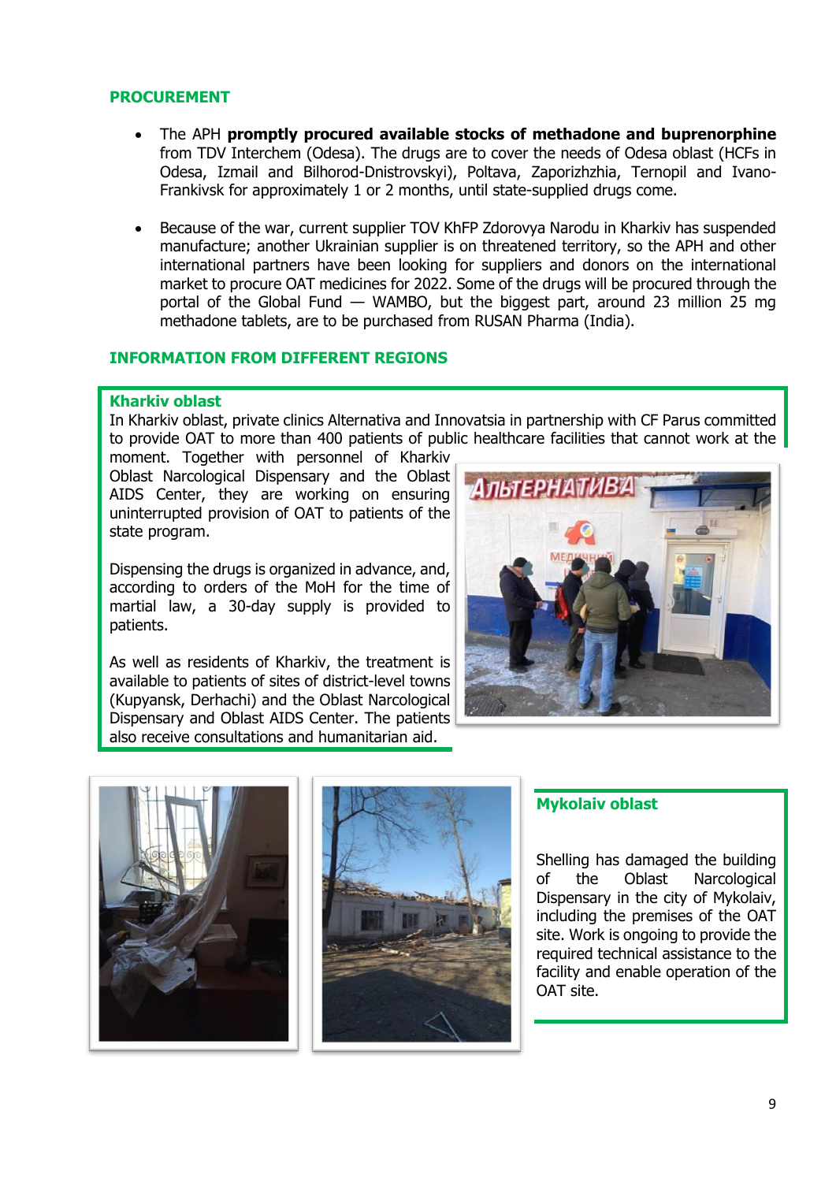### **PROCUREMENT**

- The APH **promptly procured available stocks of methadone and buprenorphine**  from TDV Interchem (Odesa). The drugs are to cover the needs of Odesa oblast (HCFs in Odesa, Izmail and Bilhorod-Dnistrovskyi), Poltava, Zaporizhzhia, Ternopil and Ivano-Frankivsk for approximately 1 or 2 months, until state-supplied drugs come.
- Because of the war, current supplier TOV KhFP Zdorovya Narodu in Kharkiv has suspended manufacture; another Ukrainian supplier is on threatened territory, so the APH and other international partners have been looking for suppliers and donors on the international market to procure OAT medicines for 2022. Some of the drugs will be procured through the portal of the Global Fund — WAMBO, but the biggest part, around 23 million 25 mg methadone tablets, are to be purchased from RUSAN Pharma (India).

## **INFORMATION FROM DIFFERENT REGIONS**

#### **Kharkiv oblast**

In Kharkiv oblast, private clinics Alternativa and Innovatsia in partnership with CF Parus committed to provide OAT to more than 400 patients of public healthcare facilities that cannot work at the

moment. Together with personnel of Kharkiv Oblast Narcological Dispensary and the Oblast AIDS Center, they are working on ensuring uninterrupted provision of OAT to patients of the state program.

Dispensing the drugs is organized in advance, and, according to orders of the MoH for the time of martial law, a 30-day supply is provided to patients.

As well as residents of Kharkiv, the treatment is available to patients of sites of district-level towns (Kupyansk, Derhachi) and the Oblast Narcological Dispensary and Oblast AIDS Center. The patients also receive consultations and humanitarian aid.







## **Mykolaiv oblast**

Shelling has damaged the building of the Oblast Narcological Dispensary in the city of Mykolaiv, including the premises of the OAT site. Work is ongoing to provide the required technical assistance to the facility and enable operation of the OAT site.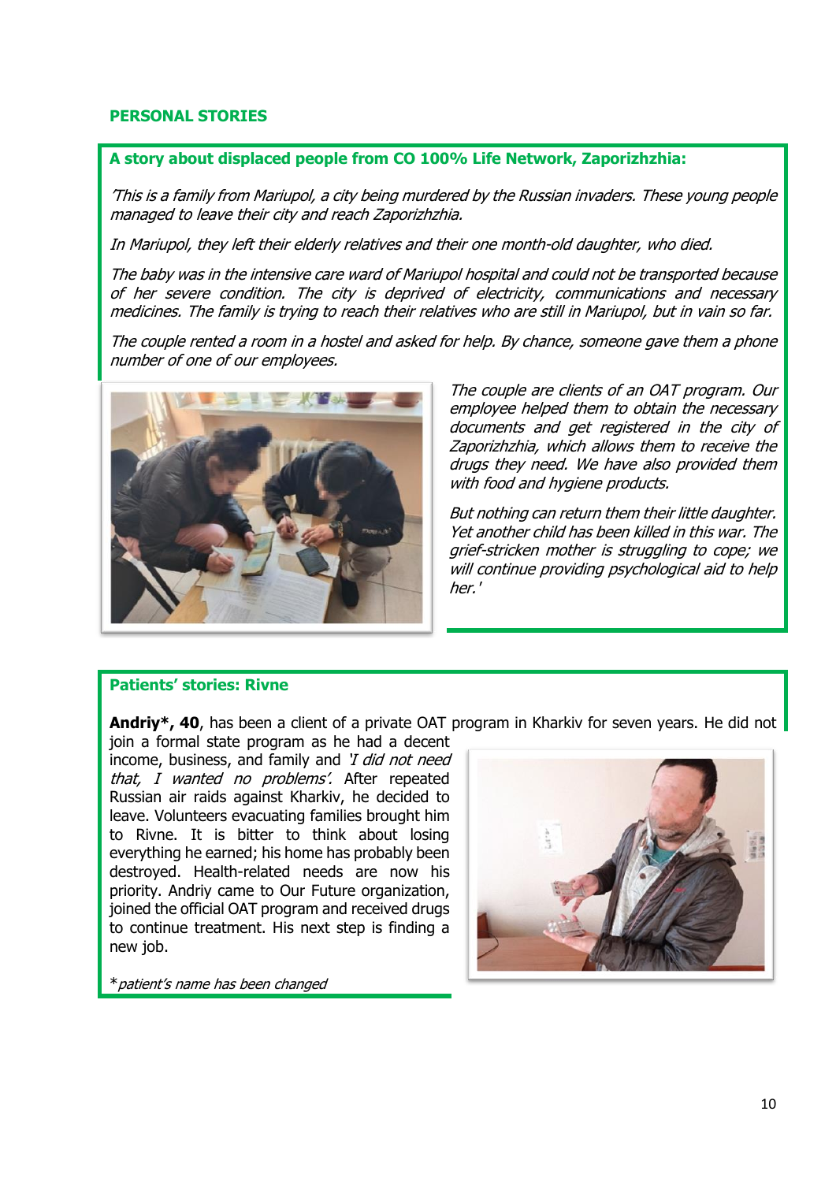## **PERSONAL STORIES**

## **A story about displaced people from CO 100% Life Network, Zaporizhzhia:**

'This is a family from Mariupol, a city being murdered by the Russian invaders. These young people managed to leave their city and reach Zaporizhzhia.

In Mariupol, they left their elderly relatives and their one month-old daughter, who died.

The baby was in the intensive care ward of Mariupol hospital and could not be transported because of her severe condition. The city is deprived of electricity, communications and necessary medicines. The family is trying to reach their relatives who are still in Mariupol, but in vain so far.

The couple rented a room in a hostel and asked for help. By chance, someone gave them a phone number of one of our employees.



The couple are clients of an OAT program. Our employee helped them to obtain the necessary documents and get registered in the city of Zaporizhzhia, which allows them to receive the drugs they need. We have also provided them with food and hygiene products.

But nothing can return them their little daughter. Yet another child has been killed in this war. The grief-stricken mother is struggling to cope; we will continue providing psychological aid to help her.'

## **Patients' stories: Rivne**

**Andriy\*, 40**, has been a client of a private OAT program in Kharkiv for seven years. He did not

join a formal state program as he had a decent income, business, and family and 'I did not need that, I wanted no problems'. After repeated Russian air raids against Kharkiv, he decided to leave. Volunteers evacuating families brought him to Rivne. It is bitter to think about losing everything he earned; his home has probably been destroyed. Health-related needs are now his priority. Andriy came to Our Future organization, joined the official OAT program and received drugs to continue treatment. His next step is finding a new job.

\*patient's name has been changed

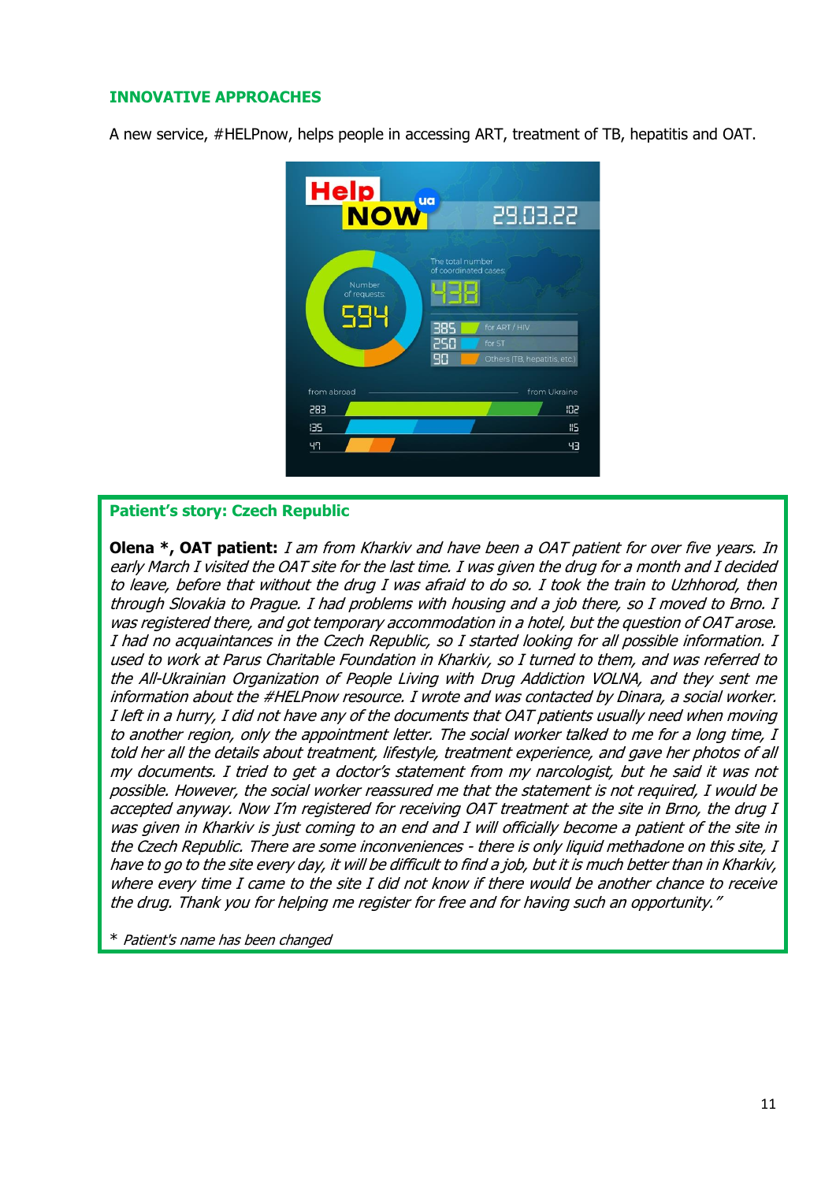## **INNOVATIVE APPROACHES**

A new service, #HELPnow, helps people in accessing ART, treatment of TB, hepatitis and OAT.



## **Patient's story: Czech Republic**

**Olena \*, OAT patient:** I am from Kharkiv and have been a OAT patient for over five years. In early March I visited the OAT site for the last time. I was given the drug for a month and I decided to leave, before that without the drug I was afraid to do so. I took the train to Uzhhorod, then through Slovakia to Prague. I had problems with housing and a job there, so I moved to Brno. I was registered there, and got temporary accommodation in a hotel, but the question of OAT arose. I had no acquaintances in the Czech Republic, so I started looking for all possible information. I used to work at Parus Charitable Foundation in Kharkiv, so I turned to them, and was referred to the All-Ukrainian Organization of People Living with Drug Addiction VOLNA, and they sent me information about the #HELPnow resource. I wrote and was contacted by Dinara, a social worker. I left in a hurry, I did not have any of the documents that OAT patients usually need when moving to another region, only the appointment letter. The social worker talked to me for a long time, I told her all the details about treatment, lifestyle, treatment experience, and gave her photos of all my documents. I tried to get a doctor's statement from my narcologist, but he said it was not possible. However, the social worker reassured me that the statement is not required, I would be accepted anyway. Now I'm registered for receiving OAT treatment at the site in Brno, the drug I was given in Kharkiv is just coming to an end and I will officially become a patient of the site in the Czech Republic. There are some inconveniences - there is only liquid methadone on this site, I have to go to the site every day, it will be difficult to find a job, but it is much better than in Kharkiv, where every time I came to the site I did not know if there would be another chance to receive the drug. Thank you for helping me register for free and for having such an opportunity."

\* Patient's name has been changed